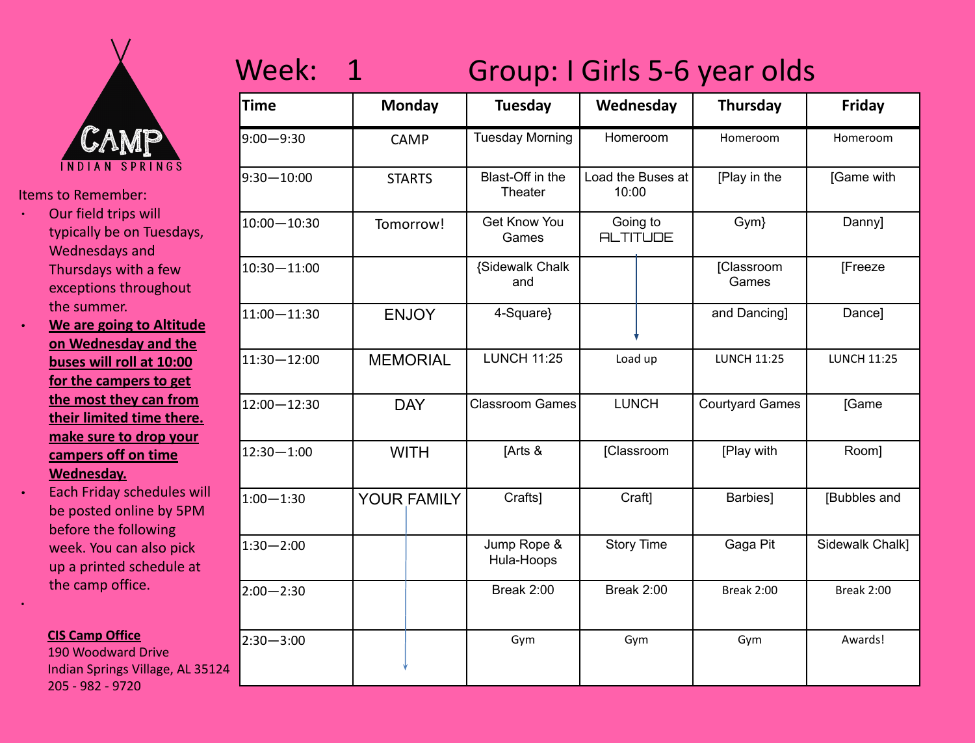

- ∙ Our field trips will typically be on Tuesdays, Wednesdays and Thursdays with a few exceptions throughout the summer.
- ∙ **We are going to Altitude on Wednesday and the buses will roll at 10:00 for the campers to get the most they can from their limited time there. make sure to drop your campers off on time Wednesday.**

∙ Each Friday schedules will be posted online by 5PM before the following week. You can also pick up a printed schedule at the camp office.

### **CIS Camp Office**

**·**

190 Woodward Drive Indian Springs Village, AL 35124 205 - 982 - 9720

## Week: 1 Group: I Girls 5-6 year olds

| <b>Time</b>     |                 | <b>Monday</b>      | <b>Tuesday</b>               | Wednesday                  |                     | <b>Thursday</b>        | Friday             |
|-----------------|-----------------|--------------------|------------------------------|----------------------------|---------------------|------------------------|--------------------|
| $9:00 - 9:30$   |                 | <b>CAMP</b>        | <b>Tuesday Morning</b>       | Homeroom                   |                     | Homeroom               | Homeroom           |
| $9:30 - 10:00$  |                 | <b>STARTS</b>      | Blast-Off in the<br>Theater  | Load the Buses at<br>10:00 |                     | [Play in the           | [Game with         |
| $10:00 - 10:30$ |                 | Tomorrow!          | <b>Get Know You</b><br>Games | <b>ALTITUDE</b>            | Going to            | Gym}                   | Danny]             |
| $10:30 - 11:00$ |                 |                    | {Sidewalk Chalk<br>and       |                            | [Classroom<br>Games |                        | [Freeze            |
| $11:00 - 11:30$ | <b>ENJOY</b>    |                    | 4-Square}                    |                            |                     | and Dancing]           | Dance]             |
| $11:30 - 12:00$ | <b>MEMORIAL</b> |                    | <b>LUNCH 11:25</b>           | Load up                    |                     | <b>LUNCH 11:25</b>     | <b>LUNCH 11:25</b> |
| $12:00 - 12:30$ |                 | <b>DAY</b>         | <b>Classroom Games</b>       | <b>LUNCH</b>               |                     | <b>Courtyard Games</b> | [Game              |
| $12:30 - 1:00$  |                 | <b>WITH</b>        | [Arts &                      |                            | [Classroom          | [Play with             | Room]              |
| $1:00 - 1:30$   |                 | <b>YOUR FAMILY</b> | Crafts]                      | Craft]                     |                     | Barbies]               | [Bubbles and       |
| $1:30 - 2:00$   |                 |                    | Jump Rope &<br>Hula-Hoops    | <b>Story Time</b>          |                     | Gaga Pit               | Sidewalk Chalk]    |
| $2:00 - 2:30$   |                 |                    | Break 2:00                   | Break 2:00                 |                     | <b>Break 2:00</b>      | Break 2:00         |
| $2:30 - 3:00$   |                 |                    | Gym                          | Gym                        |                     | Gym                    | Awards!            |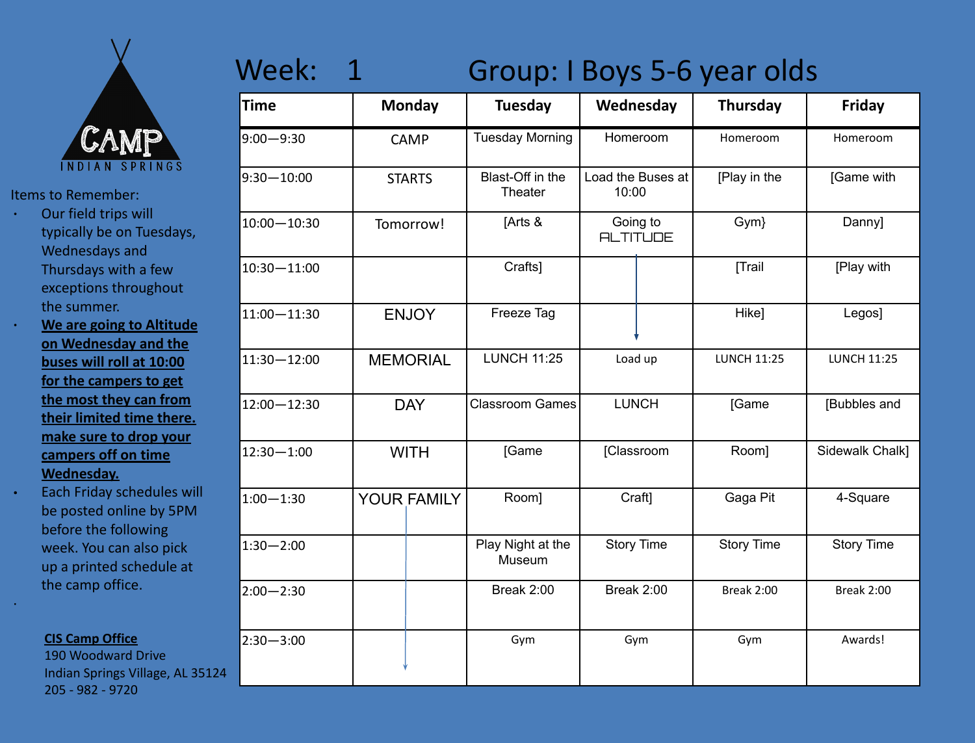

- ∙ Our field trips will typically be on Tuesdays, Wednesdays and Thursdays with a few exceptions throughout the summer.
- ∙ **We are going to Altitude on Wednesday and the buses will roll at 10:00 for the campers to get the most they can from their limited time there. make sure to drop your campers off on time Wednesday.**
- ∙ Each Friday schedules will be posted online by 5PM before the following week. You can also pick up a printed schedule at the camp office.

#### **CIS Camp Office**

·

190 Woodward Drive Indian Springs Village, AL 35124 205 - 982 - 9720

## Week: 1 Group: I Boys 5-6 year olds

| <b>Time</b>     |                 | <b>Monday</b> | <b>Tuesday</b>              |                   | Wednesday                   | <b>Thursday</b>    | <b>Friday</b>      |
|-----------------|-----------------|---------------|-----------------------------|-------------------|-----------------------------|--------------------|--------------------|
| $9:00 - 9:30$   |                 | <b>CAMP</b>   | <b>Tuesday Morning</b>      | Homeroom          |                             | Homeroom           | Homeroom           |
| $9:30 - 10:00$  |                 | <b>STARTS</b> | Blast-Off in the<br>Theater | 10:00             | Load the Buses at           | [Play in the       | [Game with         |
| $10:00 - 10:30$ |                 | Tomorrow!     | [Arts &                     |                   | Going to<br><b>ALTITUDE</b> | Gym}               | Danny]             |
| $10:30 - 11:00$ |                 |               | Crafts]                     |                   |                             | [Trail             | [Play with         |
| $11:00 - 11:30$ | <b>ENJOY</b>    |               | Freeze Tag                  |                   |                             | Hike]              | Legos]             |
| $11:30 - 12:00$ | <b>MEMORIAL</b> |               | <b>LUNCH 11:25</b>          | Load up           |                             | <b>LUNCH 11:25</b> | <b>LUNCH 11:25</b> |
| 12:00-12:30     |                 | <b>DAY</b>    | <b>Classroom Games</b>      | <b>LUNCH</b>      |                             | [Game              | [Bubbles and       |
| $12:30 - 1:00$  |                 | <b>WITH</b>   | [Game                       |                   | [Classroom                  | Room]              | Sidewalk Chalk]    |
| $1:00 - 1:30$   |                 | YOUR FAMILY   | Room]                       |                   | Craft]                      | Gaga Pit           | 4-Square           |
| $1:30 - 2:00$   |                 |               | Play Night at the<br>Museum | <b>Story Time</b> |                             | <b>Story Time</b>  | <b>Story Time</b>  |
| $2:00 - 2:30$   |                 |               | Break 2:00                  | Break 2:00        |                             | Break 2:00         | Break 2:00         |
| $2:30 - 3:00$   |                 |               | Gym                         | Gym               |                             | Gym                | Awards!            |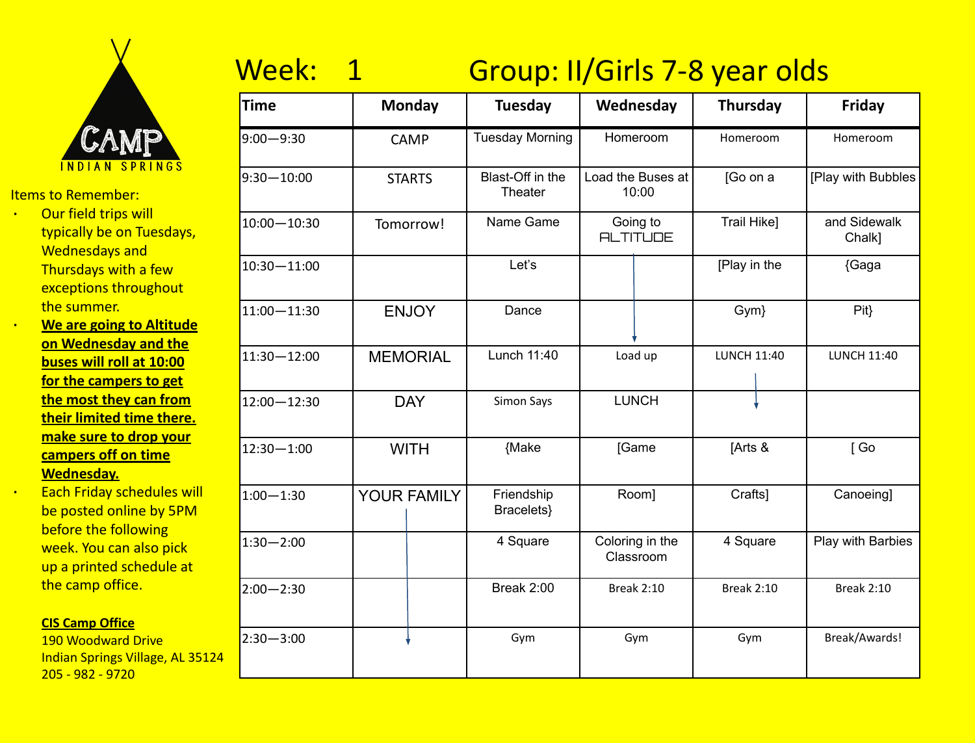

- ∙ Our field trips will typically be on Tuesdays, Wednesdays and Thursdays with a few exceptions throughout the summer.
- ∙ **We are going to Altitude on Wednesday and the buses will roll at 10:00 for the campers to get the most they can from their limited time there. make sure to drop your campers off on time Wednesday.**

∙ Each Friday schedules will be posted online by 5PM before the following week. You can also pick up a printed schedule at the camp office.

### **CIS Camp Office**

190 Woodward Drive Indian Springs Village, AL 35124 205 - 982 - 9720

# Week: 1 Group: II/Girls 7-8 year olds

| Time           | <b>Monday</b>   | <b>Tuesday</b>              | Wednesday                    | <b>Thursday</b>    | Friday                 |
|----------------|-----------------|-----------------------------|------------------------------|--------------------|------------------------|
| $9:00 - 9:30$  | <b>CAMP</b>     | <b>Tuesday Morning</b>      | Homeroom                     | Homeroom           | Homeroom               |
| $9:30 - 10:00$ | <b>STARTS</b>   | Blast-Off in the<br>Theater | Load the Buses at<br>10:00   | [Go on a           | [Play with Bubbles     |
| 10:00-10:30    | Tomorrow!       | Name Game                   | Going to<br><b>ALTITUDE</b>  | Trail Hike]        | and Sidewalk<br>Chalk] |
| 10:30-11:00    |                 | Let's                       |                              | [Play in the       | {Gaga                  |
| 11:00-11:30    | <b>ENJOY</b>    | Dance                       |                              | Gym}               | Pit                    |
| 11:30-12:00    | <b>MEMORIAL</b> | Lunch 11:40                 | Load up                      | <b>LUNCH 11:40</b> | <b>LUNCH 11:40</b>     |
| 12:00-12:30    | <b>DAY</b>      | Simon Says                  | <b>LUNCH</b>                 |                    |                        |
| 12:30-1:00     | <b>WITH</b>     | {Make                       | [Game                        | [Arts &            | [Go                    |
| $1:00 - 1:30$  | YOUR FAMILY     | Friendship<br>Bracelets}    | Room]                        | Crafts]            | Canoeing]              |
| $1:30 - 2:00$  |                 | 4 Square                    | Coloring in the<br>Classroom | 4 Square           |                        |
| $2:00 - 2:30$  |                 | <b>Break 2:00</b>           | <b>Break 2:10</b>            | <b>Break 2:10</b>  | <b>Break 2:10</b>      |
| $2:30 - 3:00$  |                 | Gym                         | Gym                          | Gym                | Break/Awards!          |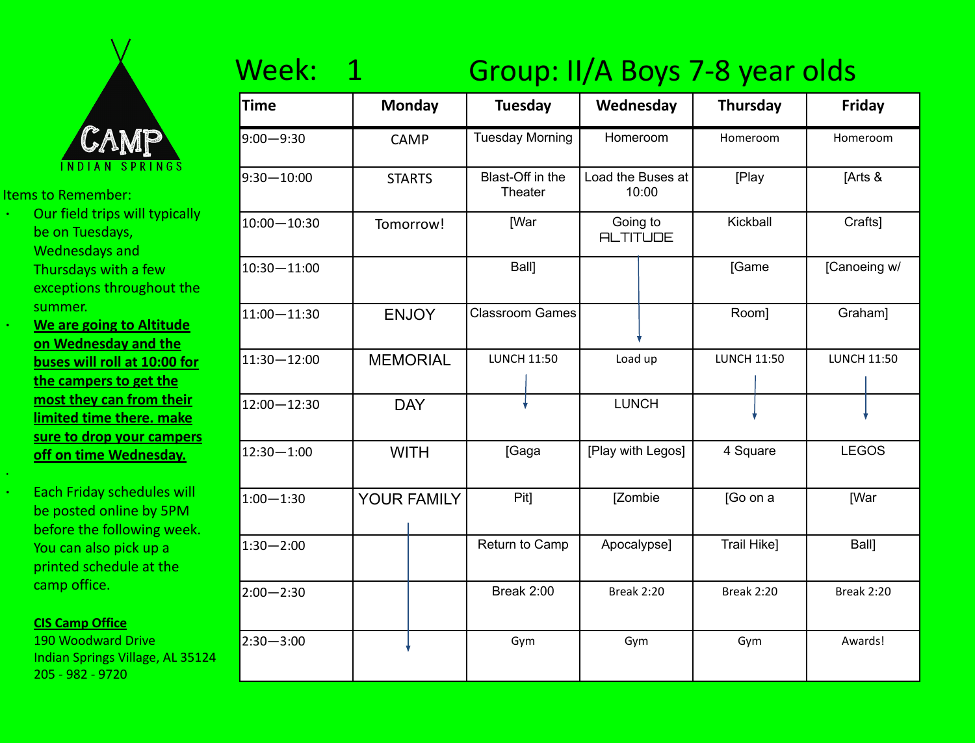

- ∙ Our field trips will typically be on Tuesdays, Wednesdays and Thursdays with a few
	- exceptions throughout the summer.
	- ∙ **We are going to Altitude on Wednesday and the buses will roll at 10:00 for the campers to get the most they can from their limited time there. make sure to drop your campers off on time Wednesday.**

∙ Each Friday schedules will be posted online by 5PM before the following week. You can also pick up a printed schedule at the camp office.

### **CIS Camp Office**

·

190 Woodward Drive Indian Springs Village, AL 35124 205 - 982 - 9720

## Week: 1 Group: II/A Boys 7-8 year olds

| Time            | <b>Monday</b>   |  | <b>Tuesday</b>                     | Wednesday                   |          | <b>Thursday</b>    |          | Friday             |  |
|-----------------|-----------------|--|------------------------------------|-----------------------------|----------|--------------------|----------|--------------------|--|
| $9:00 - 9:30$   | <b>CAMP</b>     |  | <b>Tuesday Morning</b><br>Homeroom |                             | Homeroom |                    | Homeroom |                    |  |
| $9:30 - 10:00$  | <b>STARTS</b>   |  | Blast-Off in the<br>Theater        | Load the Buses at           | 10:00    | [Play              |          | [Arts &            |  |
| 10:00-10:30     | Tomorrow!       |  | [War                               | Going to<br><b>ALTITUDE</b> |          | Kickball           |          | Crafts]            |  |
| $10:30 - 11:00$ |                 |  | Ball]                              |                             |          | [Game              |          | [Canoeing w/       |  |
| 11:00-11:30     | <b>ENJOY</b>    |  | <b>Classroom Games</b>             |                             |          | Room]              |          | Graham]            |  |
| 11:30-12:00     | <b>MEMORIAL</b> |  | <b>LUNCH 11:50</b>                 | Load up                     |          | <b>LUNCH 11:50</b> |          | <b>LUNCH 11:50</b> |  |
| 12:00-12:30     | <b>DAY</b>      |  |                                    | <b>LUNCH</b>                |          |                    |          |                    |  |
| $12:30 - 1:00$  | <b>WITH</b>     |  | [Gaga                              | [Play with Legos]           |          | 4 Square           |          | <b>LEGOS</b>       |  |
| $1:00 - 1:30$   | YOUR FAMILY     |  | Pit]                               | [Zombie                     |          | [Go on a           |          | <b>IWar</b>        |  |
| $1:30 - 2:00$   |                 |  | Return to Camp                     | Apocalypse]                 |          | Trail Hike]        |          | <b>Ball</b>        |  |
| $2:00 - 2:30$   |                 |  | Break 2:00                         | <b>Break 2:20</b>           |          | <b>Break 2:20</b>  |          | <b>Break 2:20</b>  |  |
| $2:30 - 3:00$   |                 |  | Gym                                | Gym                         |          | Gym                |          | Awards!            |  |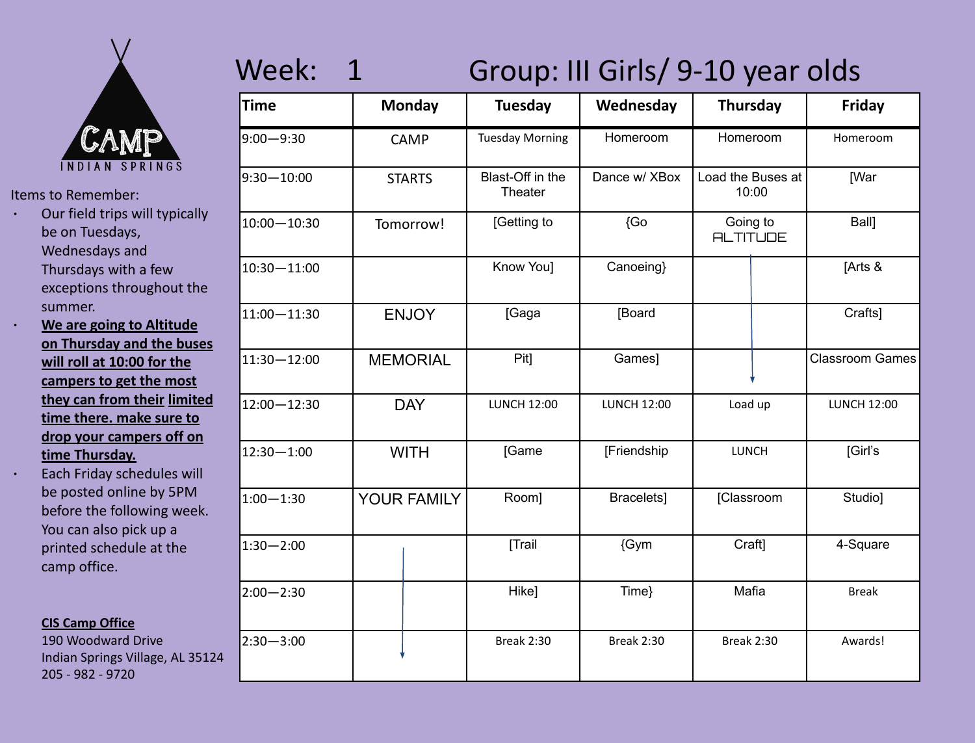

- ∙ Our field trips will typically be on Tuesdays, Wednesdays and Thursdays with a few exceptions throughout the summer.
- ∙ **We are going to Altitude on Thursday and the buses will roll at 10:00 for the campers to get the most they can from their limited time there. make sure to drop your campers off on time Thursday.**
	- ∙ Each Friday schedules will be posted online by 5PM before the following week. You can also pick up a printed schedule at the camp office.

## **CIS Camp Office**

190 Woodward Drive Indian Springs Village, AL 35124 205 - 982 - 9720

# Week: 1 Group: III Girls/ 9-10 year olds

| <b>Time</b>     | <b>Monday</b>   |  | <b>Tuesday</b>              | Wednesday          | <b>Thursday</b>             |       | Friday                 |
|-----------------|-----------------|--|-----------------------------|--------------------|-----------------------------|-------|------------------------|
| $9:00 - 9:30$   | <b>CAMP</b>     |  | <b>Tuesday Morning</b>      | Homeroom           | Homeroom                    |       | Homeroom               |
| $9:30 - 10:00$  | <b>STARTS</b>   |  | Blast-Off in the<br>Theater | Dance w/ XBox      | Load the Buses at           | 10:00 | [War                   |
| $10:00 - 10:30$ | Tomorrow!       |  | [Getting to                 | {Go                | Going to<br><b>ALTITUDE</b> |       | Ball]                  |
| $10:30 - 11:00$ |                 |  | Know You]                   | Canoeing}          |                             |       | [Arts &                |
| $11:00 - 11:30$ | <b>ENJOY</b>    |  | [Gaga                       | [Board             |                             |       | Crafts]                |
| $11:30 - 12:00$ | <b>MEMORIAL</b> |  | Pit]                        | Games]             |                             |       | <b>Classroom Games</b> |
| $12:00 - 12:30$ | <b>DAY</b>      |  | <b>LUNCH 12:00</b>          | <b>LUNCH 12:00</b> | Load up                     |       | <b>LUNCH 12:00</b>     |
| $12:30 - 1:00$  | <b>WITH</b>     |  | [Game                       | [Friendship        | LUNCH                       |       | [Girl's                |
| $1:00 - 1:30$   | YOUR FAMILY     |  | Room]                       | Bracelets]         | [Classroom                  |       | Studio]                |
| $1:30 - 2:00$   |                 |  | [Trail                      | {Gym               | Craft]                      |       | 4-Square               |
| $2:00 - 2:30$   |                 |  | Hike]                       | Time}              | Mafia                       |       | <b>Break</b>           |
| $2:30 - 3:00$   |                 |  | <b>Break 2:30</b>           | <b>Break 2:30</b>  | <b>Break 2:30</b>           |       | Awards!                |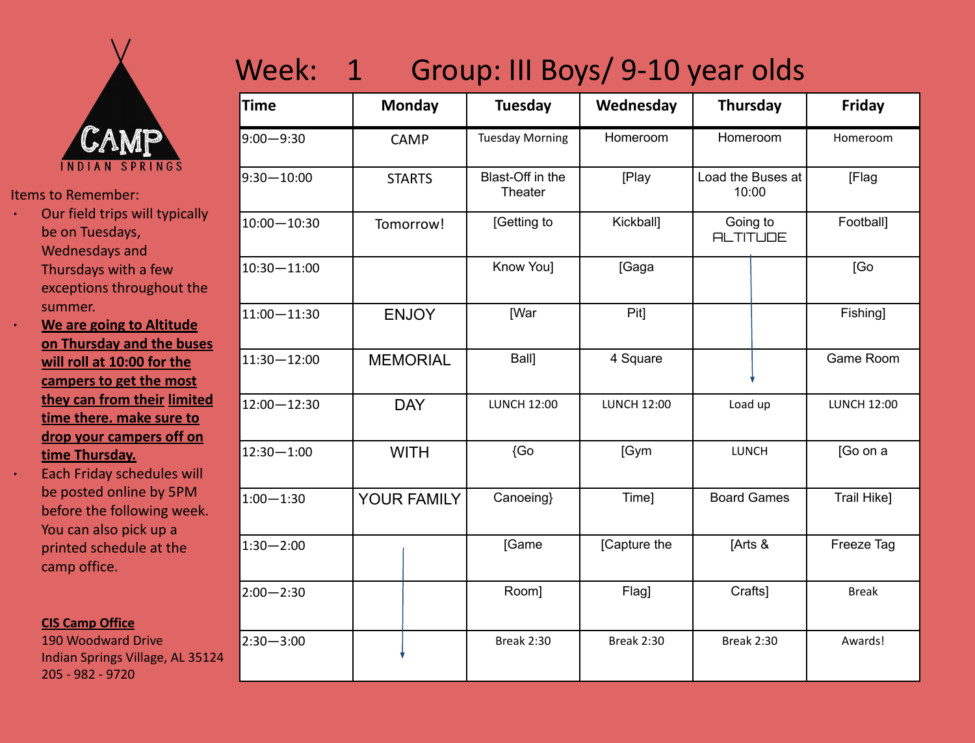

- ∙ Our field trips will typically be on Tuesdays, Wednesdays and Thursdays with a few exceptions throughout the summer.
	- ∙ **We are going to Altitude on Thursday and the buses will roll at 10:00 for the campers to get the most they can from their limited time there. make sure to drop your campers off on time Thursday.**

∙ Each Friday schedules will be posted online by 5PM before the following week. You can also pick up a printed schedule at the camp office.

### **CIS Camp Office**

190 Woodward Drive Indian Springs Village, AL 35124 205 - 982 - 9720

# Week: 1 Group: III Boys/ 9-10 year olds

| <b>Time</b>    | <b>Monday</b>      | <b>Tuesday</b>              | Wednesday          | <b>Thursday</b>             | Friday             |
|----------------|--------------------|-----------------------------|--------------------|-----------------------------|--------------------|
| $9:00 - 9:30$  | <b>CAMP</b>        | <b>Tuesday Morning</b>      | Homeroom           | Homeroom                    | Homeroom           |
| $9:30 - 10:00$ | <b>STARTS</b>      | Blast-Off in the<br>Theater | [Play              | Load the Buses at<br>10:00  | [Flag              |
| 10:00-10:30    | Tomorrow!          | [Getting to                 | Kickball]          | Going to<br><b>ALTITUDE</b> | Football]          |
| 10:30-11:00    |                    | Know You]                   | [Gaga              |                             | [Go                |
| 11:00-11:30    | <b>ENJOY</b>       | [War                        | Pit]               |                             | Fishing]           |
| 11:30-12:00    | <b>MEMORIAL</b>    | Ball]                       | 4 Square           |                             | Game Room          |
| 12:00-12:30    | <b>DAY</b>         | <b>LUNCH 12:00</b>          | <b>LUNCH 12:00</b> | Load up                     | <b>LUNCH 12:00</b> |
| $12:30 - 1:00$ | <b>WITH</b>        | {Go                         | [Gym               | <b>LUNCH</b>                | [Go on a           |
| $1:00 - 1:30$  | <b>YOUR FAMILY</b> | Canoeing}                   | Time]              | <b>Board Games</b>          | Trail Hike]        |
| $1:30 - 2:00$  |                    | [Game                       | [Capture the       | [Arts &                     | Freeze Tag         |
| $2:00 - 2:30$  |                    | Room]                       | Flag]              | Crafts]                     | <b>Break</b>       |
| $2:30 - 3:00$  |                    | <b>Break 2:30</b>           | <b>Break 2:30</b>  | <b>Break 2:30</b>           | Awards!            |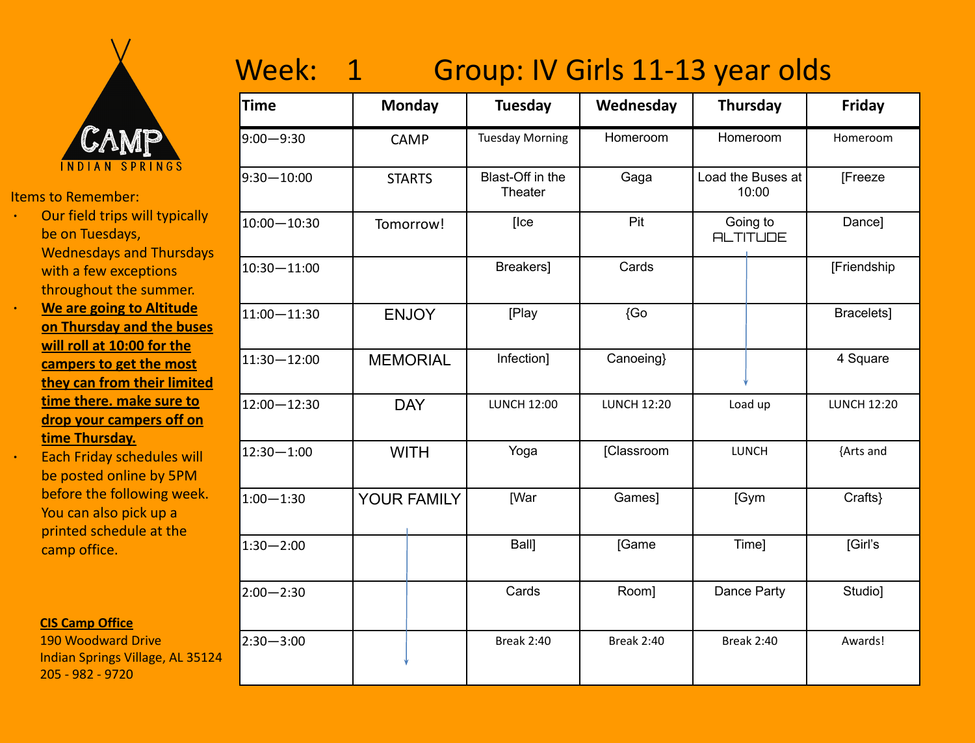

- ∙ Our field trips will typically be on Tuesdays, Wednesdays and Thursdays with a few exceptions throughout the summer.
- ∙ **We are going to Altitude on Thursday and the buses will roll at 10:00 for the campers to get the most they can from their limited time there. make sure to drop your campers off on time Thursday.**
	- ∙ Each Friday schedules will be posted online by 5PM before the following week. You can also pick up a printed schedule at the camp office.

### **CIS Camp Office**

190 Woodward Drive Indian Springs Village, AL 35124 205 - 982 - 9720

## Week: 1 Group: IV Girls 11-13 year olds

| <b>Time</b>     | <b>Monday</b>   | Tuesday                     | Wednesday          | <b>Thursday</b>             | Friday             |
|-----------------|-----------------|-----------------------------|--------------------|-----------------------------|--------------------|
| $9:00 - 9:30$   | <b>CAMP</b>     | <b>Tuesday Morning</b>      | Homeroom           | Homeroom                    | Homeroom           |
| $9:30 - 10:00$  | <b>STARTS</b>   | Blast-Off in the<br>Theater | Gaga               | Load the Buses at<br>10:00  | [Freeze            |
| $10:00 - 10:30$ | Tomorrow!       | [Ice                        | Pit                | Going to<br><b>ALTITUDE</b> | Dance]             |
| 10:30-11:00     |                 | Breakers]                   | Cards              |                             | [Friendship        |
| $11:00 - 11:30$ | <b>ENJOY</b>    | [Play                       | {Go                |                             | Bracelets]         |
| 11:30 - 12:00   | <b>MEMORIAL</b> | Infection]                  | Canoeing}          |                             | 4 Square           |
| 12:00-12:30     | <b>DAY</b>      | <b>LUNCH 12:00</b>          | <b>LUNCH 12:20</b> | Load up                     | <b>LUNCH 12:20</b> |
| 12:30-1:00      | <b>WITH</b>     | Yoga                        | [Classroom         | <b>LUNCH</b>                | {Arts and          |
| $1:00 - 1:30$   | YOUR FAMILY     | [War                        | Games]             | [Gym                        | Crafts}            |
| $1:30 - 2:00$   |                 | Ball]                       | [Game              | Time]                       | [Girl's            |
| $2:00 - 2:30$   |                 | Cards                       | Room]              | Dance Party                 | Studio]            |
| $2:30 - 3:00$   |                 | <b>Break 2:40</b>           | <b>Break 2:40</b>  | <b>Break 2:40</b>           | Awards!            |